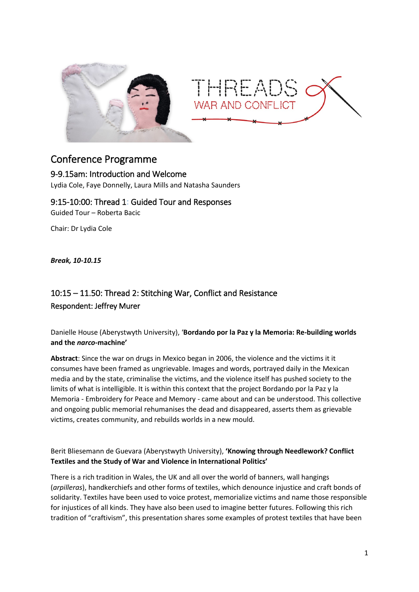

## Conference Programme

## 9-9.15am: Introduction and Welcome

Lydia Cole, Faye Donnelly, Laura Mills and Natasha Saunders

9:15-10:00: Thread 1: Guided Tour and Responses Guided Tour – Roberta Bacic

Chair: Dr Lydia Cole

*Break, 10-10.15*

## 10:15 – 11.50: Thread 2: Stitching War, Conflict and Resistance Respondent: Jeffrey Murer

Danielle House (Aberystwyth University), '**Bordando por la Paz y la Memoria: Re-building worlds and the** *narco***-machine'**

**Abstract**: Since the war on drugs in Mexico began in 2006, the violence and the victims it it consumes have been framed as ungrievable. Images and words, portrayed daily in the Mexican media and by the state, criminalise the victims, and the violence itself has pushed society to the limits of what is intelligible. It is within this context that the project Bordando por la Paz y la Memoria - Embroidery for Peace and Memory - came about and can be understood. This collective and ongoing public memorial rehumanises the dead and disappeared, asserts them as grievable victims, creates community, and rebuilds worlds in a new mould.

#### Berit Bliesemann de Guevara (Aberystwyth University), **'Knowing through Needlework? Conflict Textiles and the Study of War and Violence in International Politics'**

There is a rich tradition in Wales, the UK and all over the world of banners, wall hangings (*arpilleras*), handkerchiefs and other forms of textiles, which denounce injustice and craft bonds of solidarity. Textiles have been used to voice protest, memorialize victims and name those responsible for injustices of all kinds. They have also been used to imagine better futures. Following this rich tradition of "craftivism", this presentation shares some examples of protest textiles that have been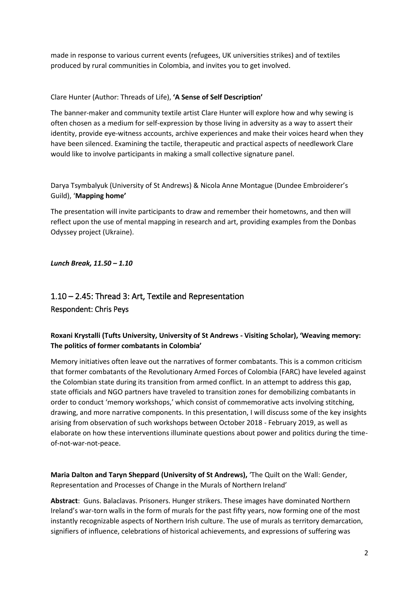made in response to various current events (refugees, UK universities strikes) and of textiles produced by rural communities in Colombia, and invites you to get involved.

#### Clare Hunter (Author: Threads of Life), **'A Sense of Self Description'**

The banner-maker and community textile artist Clare Hunter will explore how and why sewing is often chosen as a medium for self-expression by those living in adversity as a way to assert their identity, provide eye-witness accounts, archive experiences and make their voices heard when they have been silenced. Examining the tactile, therapeutic and practical aspects of needlework Clare would like to involve participants in making a small collective signature panel.

Darya Tsymbalyuk (University of St Andrews) & Nicola Anne Montague (Dundee Embroiderer's Guild), '**Mapping home'**

The presentation will invite participants to draw and remember their hometowns, and then will reflect upon the use of mental mapping in research and art, providing examples from the Donbas Odyssey project (Ukraine).

*Lunch Break, 11.50 – 1.10*

# 1.10 – 2.45: Thread 3: Art, Textile and Representation Respondent: Chris Peys

## **Roxani Krystalli (Tufts University, University of St Andrews - Visiting Scholar), 'Weaving memory: The politics of former combatants in Colombia'**

Memory initiatives often leave out the narratives of former combatants. This is a common criticism that former combatants of the Revolutionary Armed Forces of Colombia (FARC) have leveled against the Colombian state during its transition from armed conflict. In an attempt to address this gap, state officials and NGO partners have traveled to transition zones for demobilizing combatants in order to conduct 'memory workshops,' which consist of commemorative acts involving stitching, drawing, and more narrative components. In this presentation, I will discuss some of the key insights arising from observation of such workshops between October 2018 - February 2019, as well as elaborate on how these interventions illuminate questions about power and politics during the timeof-not-war-not-peace.

**Maria Dalton and Taryn Sheppard (University of St Andrews),** 'The Quilt on the Wall: Gender, Representation and Processes of Change in the Murals of Northern Ireland'

**Abstract**: Guns. Balaclavas. Prisoners. Hunger strikers. These images have dominated Northern Ireland's war-torn walls in the form of murals for the past fifty years, now forming one of the most instantly recognizable aspects of Northern Irish culture. The use of murals as territory demarcation, signifiers of influence, celebrations of historical achievements, and expressions of suffering was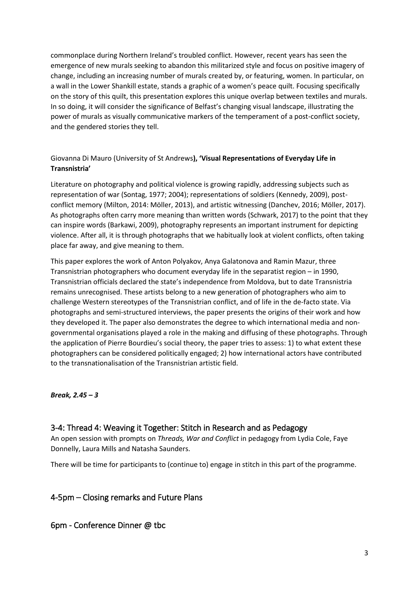commonplace during Northern Ireland's troubled conflict. However, recent years has seen the emergence of new murals seeking to abandon this militarized style and focus on positive imagery of change, including an increasing number of murals created by, or featuring, women. In particular, on a wall in the Lower Shankill estate, stands a graphic of a women's peace quilt. Focusing specifically on the story of this quilt, this presentation explores this unique overlap between textiles and murals. In so doing, it will consider the significance of Belfast's changing visual landscape, illustrating the power of murals as visually communicative markers of the temperament of a post-conflict society, and the gendered stories they tell.

#### Giovanna Di Mauro (University of St Andrews**), 'Visual Representations of Everyday Life in Transnistria'**

Literature on photography and political violence is growing rapidly, addressing subjects such as representation of war (Sontag, 1977; 2004); representations of soldiers (Kennedy, 2009), postconflict memory (Milton, 2014: Möller, 2013), and artistic witnessing (Danchev, 2016; Möller, 2017). As photographs often carry more meaning than written words (Schwark, 2017) to the point that they can inspire words (Barkawi, 2009), photography represents an important instrument for depicting violence. After all, it is through photographs that we habitually look at violent conflicts, often taking place far away, and give meaning to them.

This paper explores the work of Anton Polyakov, Anya Galatonova and Ramin Mazur, three Transnistrian photographers who document everyday life in the separatist region – in 1990, Transnistrian officials declared the state's independence from Moldova, but to date Transnistria remains unrecognised. These artists belong to a new generation of photographers who aim to challenge Western stereotypes of the Transnistrian conflict, and of life in the de-facto state. Via photographs and semi-structured interviews, the paper presents the origins of their work and how they developed it. The paper also demonstrates the degree to which international media and nongovernmental organisations played a role in the making and diffusing of these photographs. Through the application of Pierre Bourdieu's social theory, the paper tries to assess: 1) to what extent these photographers can be considered politically engaged; 2) how international actors have contributed to the transnationalisation of the Transnistrian artistic field.

#### *Break, 2.45 – 3*

## 3-4: Thread 4: Weaving it Together: Stitch in Research and as Pedagogy

An open session with prompts on *Threads, War and Conflict* in pedagogy from Lydia Cole, Faye Donnelly, Laura Mills and Natasha Saunders.

There will be time for participants to (continue to) engage in stitch in this part of the programme.

## 4-5pm – Closing remarks and Future Plans

6pm - Conference Dinner @ tbc